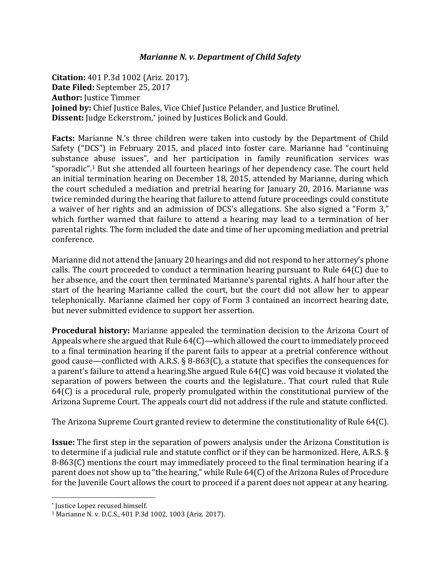## *Marianne N. v. Department of Child Safety*

**Citation:** 401 P.3d 1002 (Ariz. 2017). **Date Filed:** September 25, 2017 **Author:** Justice Timmer **Joined by:** Chief Justice Bales, Vice Chief Justice Pelander, and Justice Brutinel. **Dissent:** Judge Eckerstrom, \* joined by Justices Bolick and Gould.

**Facts:** Marianne N.'s three children were taken into custody by the Department of Child Safety ("DCS") in February 2015, and placed into foster care. Marianne had "continuing substance abuse issues", and her participation in family reunification services was "sporadic".<sup>1</sup> But she attended all fourteen hearings of her dependency case. The court held an initial termination hearing on December 18, 2015, attended by Marianne, during which the court scheduled a mediation and pretrial hearing for January 20, 2016. Marianne was twice reminded during the hearing that failure to attend future proceedings could constitute a waiver of her rights and an admission of DCS's allegations. She also signed a "Form 3," which further warned that failure to attend a hearing may lead to a termination of her parental rights. The form included the date and time of her upcoming mediation and pretrial conference.

Marianne did not attend the January 20 hearings and did not respond to her attorney's phone calls. The court proceeded to conduct a termination hearing pursuant to Rule 64(C) due to her absence, and the court then terminated Marianne's parental rights. A half hour after the start of the hearing Marianne called the court, but the court did not allow her to appear telephonically. Marianne claimed her copy of Form 3 contained an incorrect hearing date, but never submitted evidence to support her assertion.

**Procedural history:** Marianne appealed the termination decision to the Arizona Court of Appeals where she argued that Rule 64(C)—which allowed the court to immediately proceed to a final termination hearing if the parent fails to appear at a pretrial conference without good cause—conflicted with A.R.S. § 8-863(C), a statute that specifies the consequences for a parent's failure to attend a hearing.She argued Rule 64(C) was void because it violated the separation of powers between the courts and the legislature.. That court ruled that Rule 64(C) is a procedural rule, properly promulgated within the constitutional purview of the Arizona Supreme Court. The appeals court did not address if the rule and statute conflicted.

The Arizona Supreme Court granted review to determine the constitutionality of Rule 64(C).

**Issue:** The first step in the separation of powers analysis under the Arizona Constitution is to determine if a judicial rule and statute conflict or if they can be harmonized. Here, A.R.S. § 8-863(C) mentions the court may immediately proceed to the final termination hearing if a parent does not show up to "the hearing," while Rule 64(C) of the Arizona Rules of Procedure for the Juvenile Court allows the court to proceed if a parent does not appear at any hearing.

 $\overline{\phantom{a}}$ 

<sup>\*</sup> Justice Lopez recused himself.

<sup>1</sup> Marianne N. v. D.C.S., 401 P.3d 1002, 1003 (Ariz. 2017).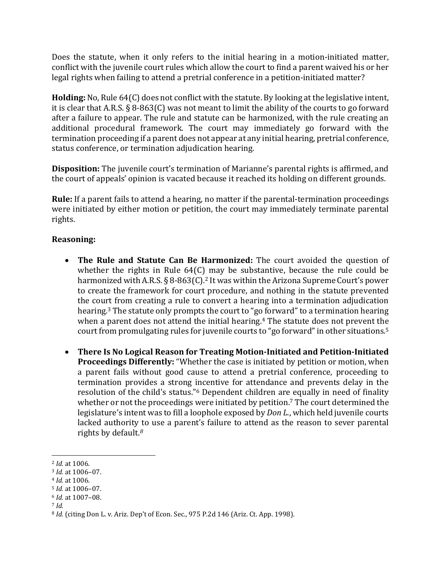Does the statute, when it only refers to the initial hearing in a motion-initiated matter, conflict with the juvenile court rules which allow the court to find a parent waived his or her legal rights when failing to attend a pretrial conference in a petition-initiated matter?

**Holding:** No, Rule 64(C) does not conflict with the statute. By looking at the legislative intent, it is clear that A.R.S. § 8-863(C) was not meant to limit the ability of the courts to go forward after a failure to appear. The rule and statute can be harmonized, with the rule creating an additional procedural framework. The court may immediately go forward with the termination proceeding if a parent does not appear at any initial hearing, pretrial conference, status conference, or termination adjudication hearing.

**Disposition:** The juvenile court's termination of Marianne's parental rights is affirmed, and the court of appeals' opinion is vacated because it reached its holding on different grounds.

**Rule:** If a parent fails to attend a hearing, no matter if the parental-termination proceedings were initiated by either motion or petition, the court may immediately terminate parental rights.

## **Reasoning:**

- **The Rule and Statute Can Be Harmonized:** The court avoided the question of whether the rights in Rule 64(C) may be substantive, because the rule could be harmonized with A.R.S. § 8-863(C).<sup>2</sup> It was within the Arizona Supreme Court's power to create the framework for court procedure, and nothing in the statute prevented the court from creating a rule to convert a hearing into a termination adjudication hearing.<sup>3</sup> The statute only prompts the court to "go forward" to a termination hearing when a parent does not attend the initial hearing. <sup>4</sup> The statute does not prevent the court from promulgating rules for juvenile courts to "go forward" in other situations.<sup>5</sup>
- **There Is No Logical Reason for Treating Motion-Initiated and Petition-Initiated Proceedings Differently:** "Whether the case is initiated by petition or motion, when a parent fails without good cause to attend a pretrial conference, proceeding to termination provides a strong incentive for attendance and prevents delay in the resolution of the child's status."<sup>6</sup> Dependent children are equally in need of finality whether or not the proceedings were initiated by petition.<sup>7</sup> The court determined the legislature's intent was to fill a loophole exposed by *Don L.*, which held juvenile courts lacked authority to use a parent's failure to attend as the reason to sever parental rights by default.*<sup>8</sup>*

<sup>4</sup> *Id.* at 1006.

<sup>7</sup> *Id.*

 $\overline{\phantom{a}}$ <sup>2</sup> *Id.* at 1006.

<sup>3</sup> *Id.* at 1006–07.

<sup>5</sup> *Id.* at 1006–07.

<sup>6</sup> *Id.* at 1007–08.

<sup>8</sup> *Id.* (citing Don L. v. Ariz. Dep't of Econ. Sec., 975 P.2d 146 (Ariz. Ct. App. 1998).